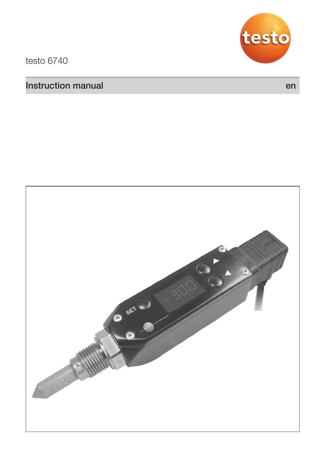

testo 6740

### **Instruction manual environmental environmental environmental en environmental en en en en en en en en en en en**

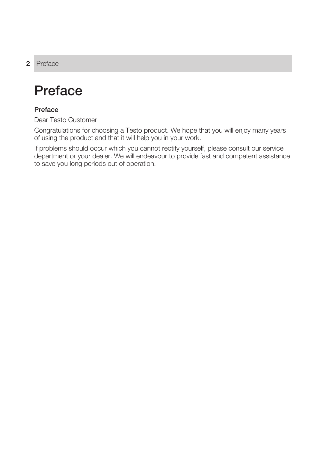### **2** Preface

## **Preface**

### **Preface**

Dear Testo Customer

Congratulations for choosing a Testo product. We hope that you will enjoy many years of using the product and that it will help you in your work.

If problems should occur which you cannot rectify yourself, please consult our service department or your dealer. We will endeavour to provide fast and competent assistance to save you long periods out of operation.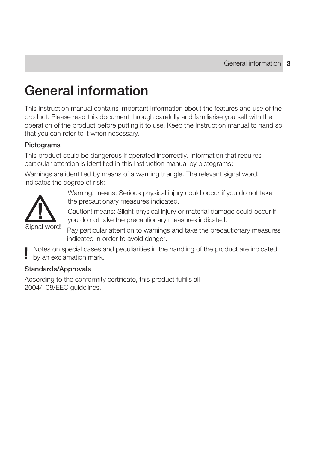# **General information**

This Instruction manual contains important information about the features and use of the product. Please read this document through carefully and familiarise yourself with the operation of the product before putting it to use. Keep the Instruction manual to hand so that you can refer to it when necessary.

### **Pictograms**

This product could be dangerous if operated incorrectly. Information that requires particular attention is identified in this Instruction manual by pictograms:

Warnings are identified by means of a warning triangle. The relevant signal word! indicates the degree of risk:



Warning! means: Serious physical injury could occur if you do not take the precautionary measures indicated.

Caution! means: Slight physical injury or material damage could occur if you do not take the precautionary measures indicated.

Pay particular attention to warnings and take the precautionary measures indicated in order to avoid danger.

Notes on special cases and peculiarities in the handling of the product are indicated by an exclamation mark.

### **Standards/Approvals**

According to the conformity certificate, this product fulfills all 2004/108/EEC guidelines.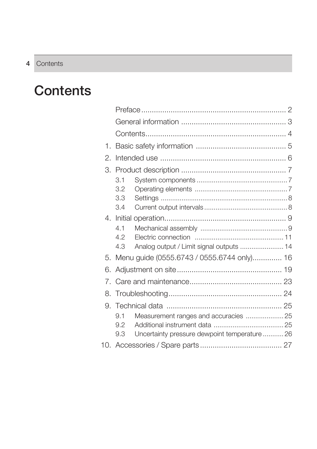# **Contents**

| 1. |     |                                               |  |
|----|-----|-----------------------------------------------|--|
| 2. |     |                                               |  |
|    |     |                                               |  |
|    | 3.1 |                                               |  |
|    | 3.2 |                                               |  |
|    | 3.3 |                                               |  |
|    | 3.4 |                                               |  |
|    |     |                                               |  |
|    | 4.1 |                                               |  |
|    | 4.2 |                                               |  |
|    | 4.3 | Analog output / Limit signal outputs  14      |  |
| 5  |     | Menu guide (0555.6743 / 0555.6744 only) 16    |  |
| 6. |     |                                               |  |
|    |     |                                               |  |
|    |     |                                               |  |
|    |     |                                               |  |
|    | 91  | Measurement ranges and accuracies  25         |  |
|    | 9.2 |                                               |  |
|    | 9.3 | Uncertainty pressure dewpoint temperature  26 |  |
|    |     |                                               |  |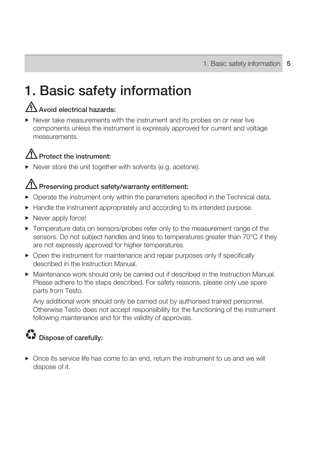# **1. Basic safety information**

### **Avoid electrical hazards:**

 Never take measurements with the instrument and its probes on or near live components unless the instrument is expressly approved for current and voltage measurements.

### **Protect the instrument:**

▶ Never store the unit together with solvents (e.g. acetone).

### **Preserving product safety/warranty entitlement:**

- Operate the instrument only within the parameters specified in the Technical data.
- Handle the instrument appropriately and according to its intended purpose.
- ▶ Never apply force!
- Temperature data on sensors/probes refer only to the measurement range of the sensors. Do not subject handles and lines to temperatures greater than 70°C if they are not expressly approved for higher temperatures.
- ▶ Open the instrument for maintenance and repair purposes only if specifically described in the Instruction Manual.
- Maintenance work should only be carried out if described in the Instruction Manual. Please adhere to the steps described. For safety reasons, please only use spare parts from Testo.

 Any additional work should only be carried out by authorised trained personnel. Otherwise Testo does not accept responsibility for the functioning of the instrument following maintenance and for the validity of approvals.

## $\sum$  Dispose of carefully:

 Once its service life has come to an end, return the instrument to us and we will dispose of it.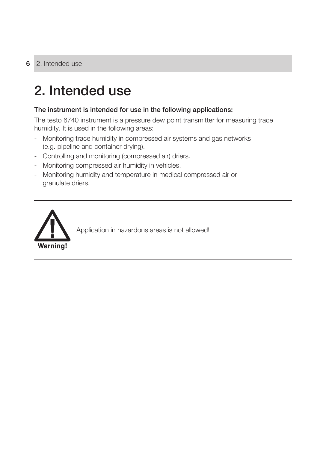# **2. Intended use**

### **The instrument is intended for use in the following applications:**

The testo 6740 instrument is a pressure dew point transmitter for measuring trace humidity. It is used in the following areas:

- Monitoring trace humidity in compressed air systems and gas networks (e.g. pipeline and container drying).
- Controlling and monitoring (compressed air) driers.
- Monitoring compressed air humidity in vehicles.
- Monitoring humidity and temperature in medical compressed air or granulate driers.

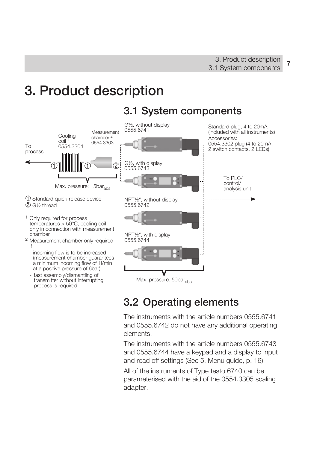# **3. Product description**



### **3.2 Operating elements**

The instruments with the article numbers 0555.6741 and 0555.6742 do not have any additional operating elements.

The instruments with the article numbers 0555.6743 and 0555.6744 have a keypad and a display to input and read off settings (See 5. Menu guide, p. 16).

All of the instruments of Type testo 6740 can be parameterised with the aid of the 0554.3305 scaling adapter.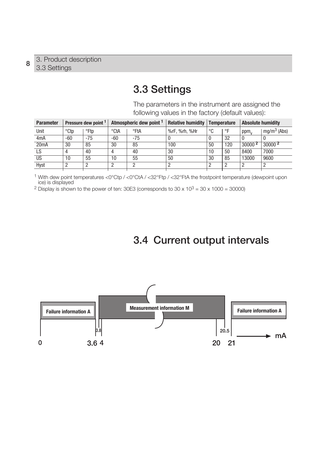### **3.3 Settings**

The parameters in the instrument are assigned the following values in the factory (default values):

| <b>Parameter</b> |      | Pressure dew point 1 |       | Atmospheric dew point 1 | <b>Relative humidity</b> | <b>Temperature</b> |     | <b>Absolute humidity</b> |                    |
|------------------|------|----------------------|-------|-------------------------|--------------------------|--------------------|-----|--------------------------|--------------------|
| Unit             | °Ctp | °Ftp                 | °CtA  | °FtA                    | %rF, %rh, %Hr            | °C                 | °F  | ppm <sub>y</sub>         | $mq/m^3$ (Abs)     |
| 4 <sub>m</sub> A | -60  | $-75$                | $-60$ | $-75$                   |                          |                    | 32  |                          |                    |
| 20mA             | 30   | 85                   | 30    | 85                      | 100                      | 50                 | 120 | 30000 <sup>2</sup>       | 30000 <sup>2</sup> |
| LS.              |      | 40                   | 4     | 40                      | 30                       | 10                 | 50  | 8400                     | 7000               |
| <b>US</b>        | 10   | 55                   | 10    | 55                      | 50                       | 30                 | 85  | 13000                    | 9600               |
| Hyst             |      |                      | っ     |                         |                          |                    |     | ŋ                        |                    |
|                  |      |                      |       |                         |                          |                    |     |                          |                    |

1 With dew point temperatures <0°Ctp / <0°CtA / <32°Ftp / <32°FtA the frostpoint temperature (dewpoint upon ice) is displayed

<sup>2</sup> Display is shown to the power of ten: 30E3 (corresponds to  $30 \times 10^3 = 30 \times 1000 = 30000$ )

### **3.4 Current output intervals**

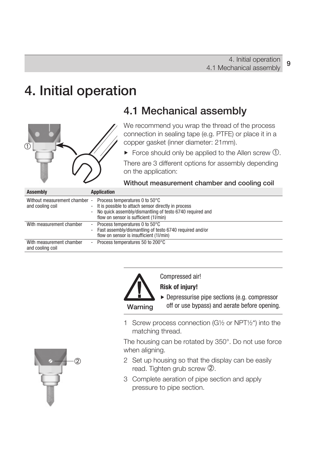## **4. Initial operation**



### **4.1 Mechanical assembly**

We recommend you wrap the thread of the process connection in sealing tape (e.g. PTFE) or place it in a copper gasket (inner diameter: 21mm).

 $\blacktriangleright$  Force should only be applied to the Allen screw  $\theta$ .

There are 3 different options for assembly depending on the application:

### **Without measurement chamber and cooling coil**

| Assembly                                          | <b>Application</b>                                                                                                                                                                                                       |
|---------------------------------------------------|--------------------------------------------------------------------------------------------------------------------------------------------------------------------------------------------------------------------------|
| Without measurement chamber -<br>and cooling coil | Process temperatures 0 to 50°C<br>It is possible to attach sensor directly in process<br>$\overline{\phantom{a}}$<br>- No quick assembly/dismantling of testo 6740 required and<br>flow on sensor is sufficient (1l/min) |
| With measurement chamber                          | - Process temperatures 0 to 50°C<br>- Fast assembly/dismantling of testo 6740 required and/or<br>flow on sensor is insufficient (1l/min)                                                                                 |
| With measurement chamber<br>and cooling coil      | - Process temperatures 50 to 200°C                                                                                                                                                                                       |



Compressed air!

### **Risk of injury!**

▶ Depressurise pipe sections (e.g. compressor off or use bypass) and aerate before opening.

1 Screw process connection (G½ or NPT½") into the matching thread.

The housing can be rotated by 350°. Do not use force when aligning.

- 2 Set up housing so that the display can be easily read. Tighten grub screw 2.
- 3 Complete aeration of pipe section and apply pressure to pipe section.

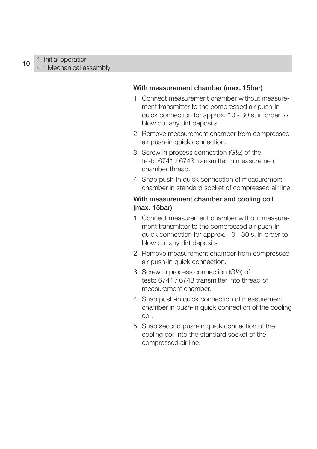#### **With measurement chamber (max. 15bar)**

- 1 Connect measurement chamber without measurement transmitter to the compressed air push-in quick connection for approx. 10 - 30 s, in order to blow out any dirt deposits
- 2 Remove measurement chamber from compressed air push-in quick connection.
- 3 Screw in process connection (G½) of the testo 6741 / 6743 transmitter in measurement chamber thread.
- 4 Snap push-in quick connection of measurement chamber in standard socket of compressed air line.

### **With measurement chamber and cooling coil (max. 15bar)**

- 1 Connect measurement chamber without measurement transmitter to the compressed air push-in quick connection for approx. 10 - 30 s, in order to blow out any dirt deposits
- 2 Remove measurement chamber from compressed air push-in quick connection.
- 3 Screw in process connection (G½) of testo 6741 / 6743 transmitter into thread of measurement chamber.
- 4 Snap push-in quick connection of measurement chamber in push-in quick connection of the cooling coil.
- 5 Snap second push-in quick connection of the cooling coil into the standard socket of the compressed air line.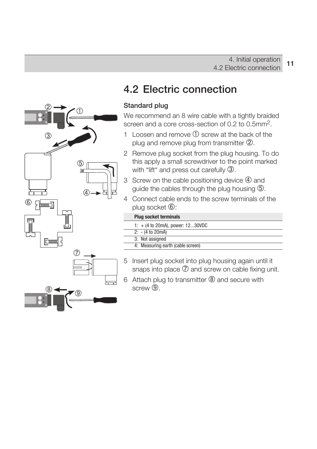

### **4.2 Electric connection**

### **Standard plug**

We recommend an 8 wire cable with a tightly braided screen and a core cross-section of 0.2 to 0.5mm 2.

- 1 Loosen and remove  $(1)$  screw at the back of the plug and remove plug from transmitter 2.
- 2 Remove plug socket from the plug housing. To do this apply a small screwdriver to the point marked with "lift" and press out carefully 3.
- 3 Screw on the cable positioning device  $\Phi$  and guide the cables through the plug housing 5.
- 4 Connect cable ends to the screw terminals of the plug socket  $\circledB$ :

| <b>Plug socket terminals</b>       |
|------------------------------------|
| 1: $+$ (4 to 20mA), power: 1230VDC |
| $2: - (4 to 20mA)$                 |
| 3: Not assigned                    |
| 4: Measuring earth (cable screen)  |

- 5 Insert plug socket into plug housing again until it snaps into place  $\overline{O}$  and screw on cable fixing unit.
- 6 Attach plug to transmitter <sup>®</sup> and secure with screw<sup>(9)</sup>.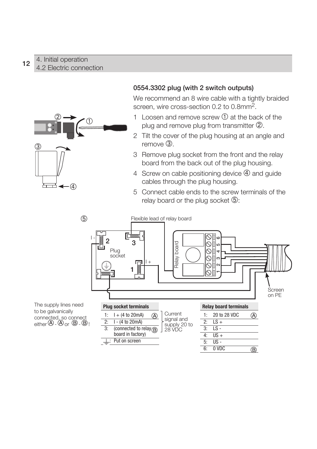### 4. Initial operation 4.2 Electric connection **<sup>12</sup>**



### **0554.3302 plug (with 2 switch outputs)**

We recommend an 8 wire cable with a tightly braided screen, wire cross-section 0.2 to 0.8mm2.

- 1 Loosen and remove screw  $\Omega$  at the back of the plug and remove plug from transmitter 2.
- 2 Tilt the cover of the plug housing at an angle and  $remove$   $(3)$
- 3 Remove plug socket from the front and the relay board from the back out of the plug housing.
- 4 Screw on cable positioning device  $\Phi$  and guide cables through the plug housing.
- 5 Connect cable ends to the screw terminals of the relay board or the plug socket  $\circled{5}$ :

6: 0 VDC

 $\overline{\mathbb{B}}$ 



The supply lines need to be galvanically connected, so connect either  $\bigoplus$  -  $\bigoplus$  or  $\bigoplus$  -  $\bigoplus$  !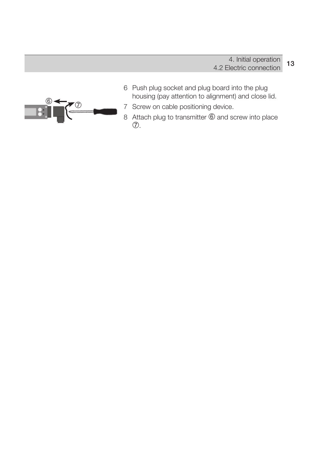

- 6 Push plug socket and plug board into the plug housing (pay attention to alignment) and close lid.
- 7 Screw on cable positioning device.
- 8 Attach plug to transmitter  $\circled{0}$  and screw into place  $\circled{7}$ .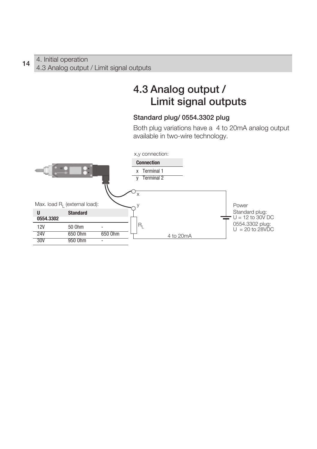### **4.3 Analog output / Limit signal outputs**

### **Standard plug/ 0554.3302 plug**

Both plug variations have a 4 to 20mA analog output available in two-wire technology.

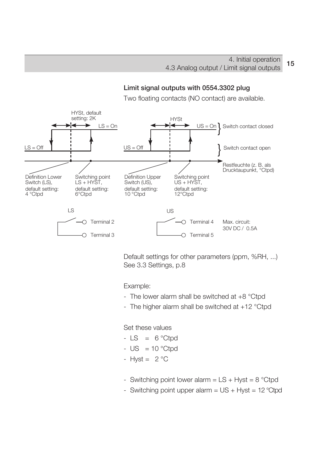**Limit signal outputs with 0554.3302 plug**

#### Two floating contacts (NO contact) are available. HYSt, default setting: 2K HYSt  $US = On$ Switch contact closed } ∽  $LS = *On*$  $LS = Off$ }  $US = \bigcap$ Switch contact open Restfeuchte (z. B. als Drucktaupunkt, °Ctpd) Definition Lower Switching point Definition Upper Switching point Switch (LS),  $LS + HYST$ . Switch (US). US + HYST, default setting: default setting: default setting: default setting: 10 °Ctpd 4 °Ctpd 6°Ctpd 12°Ctpd LS US ◯ Terminal 2  $\cap$  Terminal 4 Max. circuit: 30V DC / 0.5A  $\bigcap$  Terminal 3  $\cap$  Terminal 5

Default settings for other parameters (ppm, %RH, ...) See 3.3 Settings, p.8

Example:

- The lower alarm shall be switched at +8 °Ctpd
- The higher alarm shall be switched at +12 °Ctpd

Set these values

- $-LS = 6$  °Ctpd
- $US = 10 °C$ tpd
- $Hvst = 2°C$
- Switching point lower alarm  $=$  LS + Hyst  $=$  8 °Ctpd
- Switching point upper alarm  $= US + Hyst = 12 °Ctpd$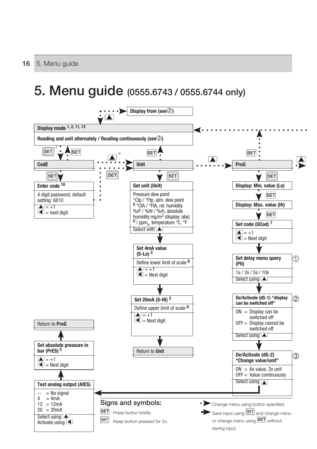## **5. Menu guide (0555.6743 / 0555.6744 only)**

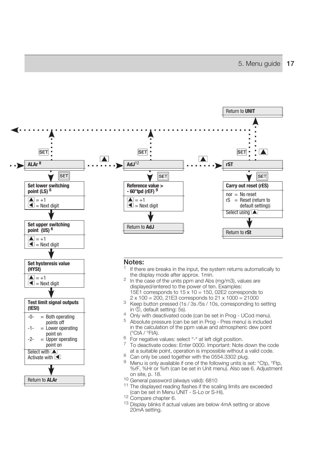

#### **Notes:**

**Set hysteresis value** 

**Test limit signal outputs** 

-0- = Both operating  $\frac{1}{2}$  points off  $=$  Lower operating

 $\begin{bmatrix} 2 & -2 \\ -2 & -1 \end{bmatrix}$  point on  $=$  Upper operating point on Select with  $\Box$ Activate with  $\blacksquare$ 

Return to **ALAr**

**(HYSt)**  $\overline{A}$  = +1  $\blacksquare$  = Next digit

**(tESt)**

- <sup>1</sup> If there are breaks in the input, the system returns automatically to the display mode after approx. 1 min.
- $\frac{2}{10}$  In the case of the units ppm and Abs (mg/m3), values are displayed/entered to the power of ten. Examples: 15E1 corresponds to  $15 \times 10 = 150$ , 02E2 corresponds to  $2 \times 100 = 200$ . 21E3 corresponds to  $21 \times 1000 = 21000$
- <sup>3</sup> Keep button pressed (1s / 3s / 5s / 10s, corresponding to setting in ①, default setting: 5s).
- <sup>4</sup> Only with deactivated code (can be set in Prog UCod menu).
- 5 Absolute pressure (can be set in Prog Pres menu) is included in the calculation of the ppm value and atmospheric dew point (°CtA / °FtA).
- $6$  For negative values: select "-" at left digit position.
- 7 To deactivate codes: Enter 0000. Important: Note down the code at a suitable point, operation is impossible without a valid code.<br>8 Can only be used together with the 0554.3302 plug.<br>9 Mean is easy of the following units is easy 20th.
- 
- Menu is only available if one of the following units is set: °Ctp, °Ftp, %rF, %Hr or %rh (can be set in Unit menu). Also see 6. Adjustment
- 
- <sup>10</sup> General password (always valid): 6810<br><sup>11</sup> The displayed reading flashes if the scaling limits are exceeded (can be set in Menu UNIT S-Lo or S-Hi).
- 
- (can be set in Menu Unit Set in Menu Unit 12 Compare chapter 6.<br><sup>13</sup> Display blinks if actual values are below 4mA setting or above 20mA setting.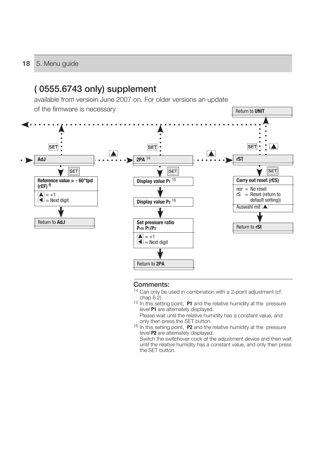#### **18** 5. Menu guide



#### **Comments:**

- <sup>14</sup> Can only be used in combination with a 2-point adjustment (cf. chap  $6.2$ )
- <sup>15</sup> In this setting point, **P1** and the relative humidity at the pressure level **P1** are alternately displayed.
	- Please wait until the relative humidity has a constant value, and only then press the SET button.
- <sup>16</sup> In this setting point, **P2** and the relative humidity at the pressure level **P2** are alternately displayed.
	- Switch the switchover cock of the adjustment device and then wait until the relative humidity has a constant value, and only then press the SET button.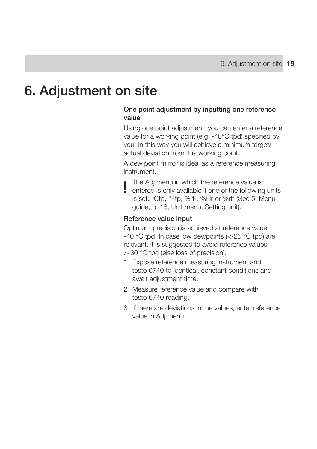## **6. Adjustment on site**

### **One point adjustment by inputting one reference value**

Using one point adjustment, you can enter a reference value for a working point (e.g. -40°C tpd) specified by you. In this way you will achieve a minimum target/ actual deviation from this working point.

A dew point mirror is ideal as a reference measuring instrument.

The Adj menu in which the reference value is entered is only available if one of the following units is set: °Ctp, °Ftp, %rF, %Hr or %rh (See 5. Menu guide, p. 16, Unit menu, Setting unit).

#### **Reference value input**

Optimum precision is achieved at reference value -40 °C tpd. In case low dewpoints (<-25 °C tpd) are relevant, it is suggested to avoid reference values >-30 °C tpd (else loss of precision).

- 1 Expose reference measuring instrument and testo 6740 to identical, constant conditions and await adjustment time.
- 2 Measure reference value and compare with testo 6740 reading.
- 3 If there are deviations in the values, enter reference value in Adj menu.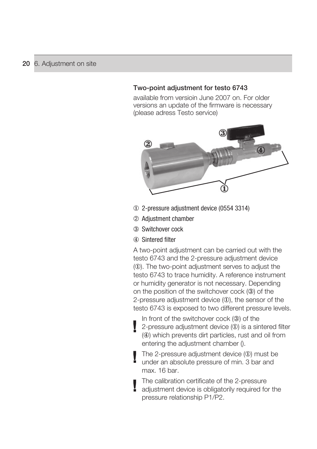### **Two-point adjustment for testo 6743**

available from versioin June 2007 on. For older versions an update of the firmware is necessary (please adress Testo service)



- 2-pressure adjustment device (0554 3314)
- Adjustment chamber
- Switchover cock
- Sintered filter

A two-point adjustment can be carried out with the testo 6743 and the 2-pressure adjustment device (1). The two-point adjustment serves to adjust the testo 6743 to trace humidity. A reference instrument or humidity generator is not necessary. Depending on the position of the switchover cock (3) of the 2-pressure adjustment device  $(1)$ , the sensor of the testo 6743 is exposed to two different pressure levels.

In front of the switchover cock  $(3)$  of the 2-pressure adjustment device  $(0)$  is a sintered filter (4) which prevents dirt particles, rust and oil from entering the adjustment chamber ().

The 2-pressure adjustment device  $(0)$  must be under an absolute pressure of min. 3 bar and max. 16 bar.

The calibration certificate of the 2-pressure adjustment device is obligatorily required for the pressure relationship P1/P2.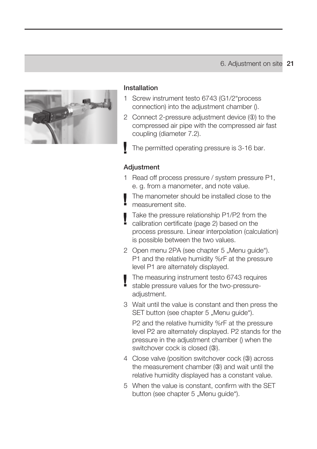

#### **Installation**

- 1 Screw instrument testo 6743 (G1/2"process connection) into the adjustment chamber ().
- 2 Connect 2-pressure adjustment device  $(1)$  to the compressed air pipe with the compressed air fast coupling (diameter 7.2).
- The permitted operating pressure is 3-16 bar.

#### **Adjustment**

- 1 Read off process pressure / system pressure P1, e. g. from a manometer, and note value.
- The manometer should be installed close to the measurement site.
- Take the pressure relationship P1/P2 from the calibration certificate (page 2) based on the process pressure. Linear interpolation (calculation) is possible between the two values.
- 2 Open menu 2PA (see chapter 5 "Menu guide"). P1 and the relative humidity %rF at the pressure level P1 are alternately displayed.
- The measuring instrument testo 6743 requires stable pressure values for the two-pressureadiustment.
- 3 Wait until the value is constant and then press the SET button (see chapter 5 .Menu quide").

 P2 and the relative humidity %rF at the pressure level P2 are alternately displayed. P2 stands for the pressure in the adjustment chamber () when the switchover cock is closed (3).

- 4 Close valve (position switchover cock (3) across the measurement chamber  $(3)$  and wait until the relative humidity displayed has a constant value.
- 5 When the value is constant, confirm with the SET button (see chapter 5 "Menu guide").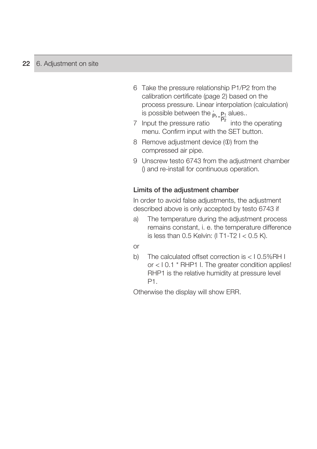- 6 Take the pressure relationship P1/P2 from the calibration certificate (page 2) based on the process pressure. Linear interpolation (calculation) is possible between the  $\frac{P_1}{P_2}$  alues...
- 7 Input the pressure ratio  $\frac{12}{10}$  into the operating menu. Confirm input with the SET button.
- 8 Remove adjustment device (1) from the compressed air pipe.
- 9 Unscrew testo 6743 from the adjustment chamber () and re-install for continuous operation.

### **Limits of the adjustment chamber**

In order to avoid false adjustments, the adjustment described above is only accepted by testo 6743 if

- a) The temperature during the adjustment process remains constant, i. e. the temperature difference is less than  $0.5$  Kelvin: (I T1-T2  $1 < 0.5$  K).
- or
- b) The calculated offset correction is < I 0.5%RH I or < I 0.1 \* RHP1 I. The greater condition applies! RHP1 is the relative humidity at pressure level P1.

Otherwise the display will show ERR.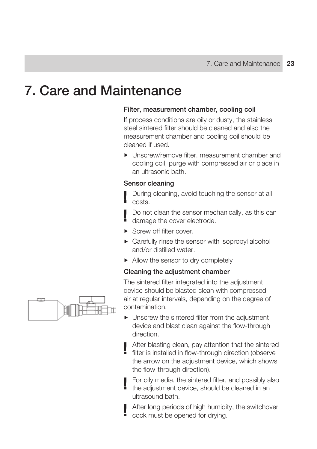## **7. Care and Maintenance**

### **Filter, measurement chamber, cooling coil**

If process conditions are oily or dusty, the stainless steel sintered filter should be cleaned and also the measurement chamber and cooling coil should be cleaned if used.

▶ Unscrew/remove filter, measurement chamber and cooling coil, purge with compressed air or place in an ultrasonic bath.

#### **Sensor cleaning**

During cleaning, avoid touching the sensor at all costs.

Do not clean the sensor mechanically, as this can damage the cover electrode.

- Screw off filter cover
- ▶ Carefully rinse the sensor with isopropyl alcohol and/or distilled water.
- Allow the sensor to dry completely

#### **Cleaning the adjustment chamber**

The sintered filter integrated into the adjustment device should be blasted clean with compressed air at regular intervals, depending on the degree of contamination.

 Unscrew the sintered filter from the adjustment device and blast clean against the flow-through direction.

After blasting clean, pay attention that the sintered<br>filter is installed in fi filter is installed in flow-through direction (observe the arrow on the adjustment device, which shows the flow-through direction).

For oily media, the sintered filter, and possibly also the adjustment device, should be cleaned in an ultrasound bath.

After long periods of high humidity, the switchover cock must be opened for drying.

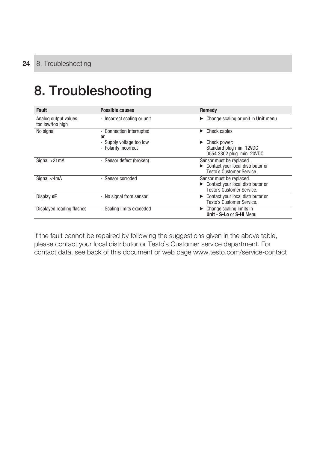# **8. Troubleshooting**

| <b>Fault</b>                             | Possible causes                                     | Remedy                                                                                     |
|------------------------------------------|-----------------------------------------------------|--------------------------------------------------------------------------------------------|
| Analog output values<br>too low/too high | - Incorrect scaling or unit                         | Change scaling or unit in Unit menu<br>▶                                                   |
| No signal                                | - Connection interrupted<br>or                      | Check cables<br>▶                                                                          |
|                                          | - Supply voltage too low<br>- Polarity incorrect    | Check power:<br>Standard plug min. 12VDC<br>0554.3302 plug: min. 20VDC                     |
| Signal > 21mA                            | Sensor defect (broken).<br>$\overline{\phantom{a}}$ | Sensor must be replaced.<br>Contact your local distributor or<br>Testo's Customer Service. |
| Signal $<$ 4mA                           | - Sensor corroded                                   | Sensor must be replaced.<br>Contact your local distributor or<br>Testo's Customer Service. |
| Display oF                               | - No signal from sensor                             | Contact your local distributor or<br>Testo's Customer Service.                             |
| Displayed reading flashes                | - Scaling limits exceeded                           | Change scaling limits in<br>Unit - S-Lo or S-Hi Menu                                       |

If the fault cannot be repaired by following the suggestions given in the above table, please contact your local distributor or Testo`s Customer service department. For contact data, see back of this document or web page www.testo.com/service-contact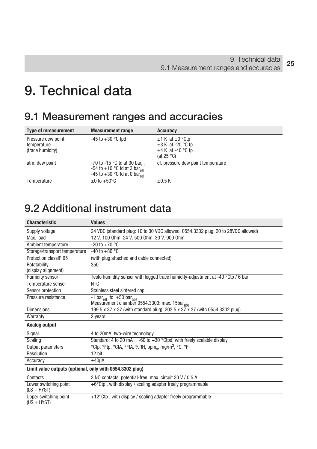## **9. Technical data**

## **9.1 Measurement ranges and accuracies**

| <b>Type of mreasurement</b>                           | <b>Measurement range</b>                                                                                                          | <b>Accuracy</b>                                                                                |
|-------------------------------------------------------|-----------------------------------------------------------------------------------------------------------------------------------|------------------------------------------------------------------------------------------------|
| Pressure dew point<br>temperature<br>(trace humidity) | $-45$ to $+30$ °C tpd                                                                                                             | $\pm$ 1 K at $\pm$ 0 °Ctp<br>$\pm 3$ K at -20 °C tp<br>$\pm$ 4 K at -40 °C tp<br>(at $25 °C$ ) |
| atm. dew point                                        | -70 to -15 °C td at 30 bar <sub>rel</sub><br>-54 to +10 °C td at 3 bar <sub>rel</sub><br>-45 to +30 °C td at 0 bar <sub>rel</sub> | cf. pressure dew point temperature                                                             |
| Temperature                                           | $\pm 0$ to $+50^{\circ}$ C                                                                                                        | $+0.5K$                                                                                        |

### **9.2 Additional instrument data**

| <b>Characteristic</b>                  | <b>Values</b>                                                                                   |  |  |  |  |
|----------------------------------------|-------------------------------------------------------------------------------------------------|--|--|--|--|
| Supply voltage                         | 24 VDC (standard plug: 10 to 30 VDC allowed, 0554.3302 plug: 20 to 28VDC allowed)               |  |  |  |  |
| Max. load                              | 12 V: 100 0hm, 24 V: 500 0hm, 30 V: 900 0hm                                                     |  |  |  |  |
| Ambient temperature                    | $-20$ to $+70$ °C                                                                               |  |  |  |  |
| Storage/transport temperature          | $-40$ to $+80$ °C                                                                               |  |  |  |  |
| Protection classIP 65                  | (with plug attached and cable connected)                                                        |  |  |  |  |
| Rotatability<br>(display alignment)    | $350^\circ$                                                                                     |  |  |  |  |
| Humidity sensor                        | Testo humidity sensor with logged trace humidity-adjustment at -40 °Ctp / 6 bar                 |  |  |  |  |
| Temperature sensor                     | <b>NTC</b>                                                                                      |  |  |  |  |
| Sensor protection                      | Stainless steel sintered cap                                                                    |  |  |  |  |
| Pressure resistance                    | -1 bar <sub>rel</sub> to +50 bar <sub>ahs</sub><br>Measurement chamber 0554.3303: max. 15barabs |  |  |  |  |
| <b>Dimensions</b>                      | 199.5 x 37 x 37 (with standard plug), 203.5 x 37 x 37 (with 0554.3302 plug)                     |  |  |  |  |
| Warranty                               | 2 years                                                                                         |  |  |  |  |
| Analog output                          |                                                                                                 |  |  |  |  |
| Signal                                 | 4 to 20mA, two-wire technology                                                                  |  |  |  |  |
| Scaling                                | Standard: 4 to 20 mA = -60 to +30 °Ctpd, with freely scalable display                           |  |  |  |  |
| Output parameters                      | °Ctp, °Ftp, °CtA, °FtA, %RH, ppm,, mg/m <sup>3</sup> , °C, °F                                   |  |  |  |  |
| Resolution                             | $12 \text{ bit}$                                                                                |  |  |  |  |
| Accuracy                               | $±40\mu A$                                                                                      |  |  |  |  |
|                                        | Limit value outputs (optional, only with 0554.3302 plug)                                        |  |  |  |  |
| Contacts                               | 2 NO contacts, potential-free, max. circuit 30 V / 0.5 A                                        |  |  |  |  |
| Lower switching point<br>$(LS + HYST)$ | $+6^{\circ}$ Ctp, with display / scaling adapter freely programmable                            |  |  |  |  |
| Upper switching point<br>$(US + HYST)$ | +12°Ctp, with display / scaling adapter freely programmable                                     |  |  |  |  |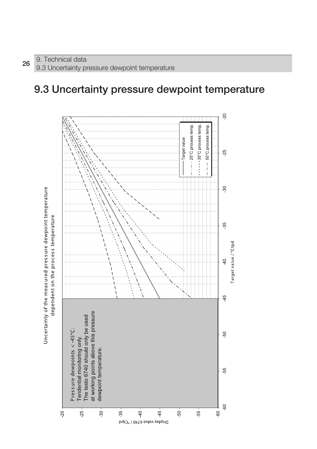### **9.3 Uncertainty pressure dewpoint temperature**

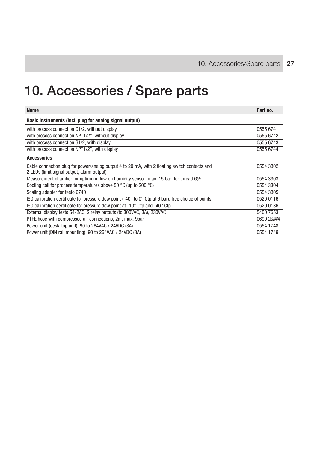# **10. Accessories / Spare parts**

| <b>Name</b>                                                                                                                                 | Part no.    |
|---------------------------------------------------------------------------------------------------------------------------------------------|-------------|
| Basic instruments (incl. plug for analog signal output)                                                                                     |             |
| with process connection G1/2, without display                                                                                               | 0555 6741   |
| with process connection NPT1/2", without display                                                                                            | 0555 6742   |
| with process connection G1/2, with display                                                                                                  | 0555 6743   |
| with process connection NPT1/2", with display                                                                                               | 0555 6744   |
| <b>Accessories</b>                                                                                                                          |             |
| Cable connection plug for power/analog output 4 to 20 mA, with 2 floating switch contacts and<br>2 LEDs (limit signal output, alarm output) | 0554 3302   |
| Measurement chamber for optimum flow on humidity sensor, max. 15 bar, for thread G1/2                                                       | 0554 3303   |
| Cooling coil for process temperatures above 50 °C (up to 200 °C)                                                                            | 0554 3304   |
| Scaling adapter for testo 6740                                                                                                              | 0554 3305   |
| ISO calibration certificate for pressure dew point $(-40^{\circ}$ to $0^{\circ}$ Ctp at 6 bar), free choice of points                       | 0520 0116   |
| ISO calibration certificate for pressure dew point at -10° Ctp and -40° Ctp                                                                 | 0520 0136   |
| External display testo 54-2AC, 2 relay outputs (to 300VAC, 3A), 230VAC                                                                      | 5400 7553   |
| PTFE hose with compressed air connections, 2m, max. 9bar                                                                                    | 0699 2824/4 |
| Power unit (desk-top unit), 90 to 264VAC / 24VDC (3A)                                                                                       | 0554 1748   |
| Power unit (DIN rail mounting), 90 to 264VAC / 24VDC (3A)                                                                                   | 0554 1749   |